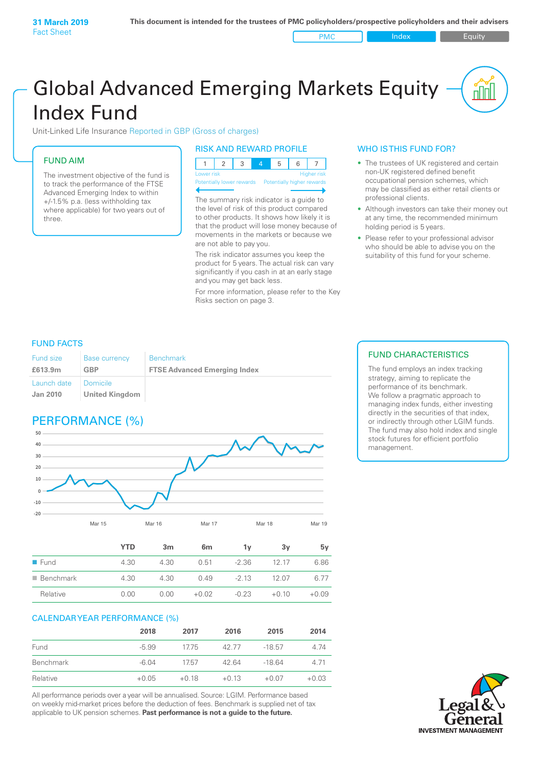PMC Index PMC Equity

# Global Advanced Emerging Markets Equity Index Fund

Unit-Linked Life Insurance Reported in GBP (Gross of charges)

### FUND AIM

The investment objective of the fund is to track the performance of the FTSE Advanced Emerging Index to within +/‑1.5% p.a. (less withholding tax where applicable) for two years out of three.

### RISK AND REWARD PROFILE

| Lower risk |  |  | <b>Higher risk</b> |
|------------|--|--|--------------------|

ntially lower rewards

The summary risk indicator is a guide to the level of risk of this product compared to other products. It shows how likely it is that the product will lose money because of movements in the markets or because we are not able to pay you.

The risk indicator assumes you keep the product for 5 years. The actual risk can vary significantly if you cash in at an early stage and you may get back less.

For more information, please refer to the Key Risks section on page 3.

### WHO IS THIS FUND FOR?

- The trustees of UK registered and certain non-UK registered defined benefit occupational pension schemes, which may be classified as either retail clients or professional clients.
- Although investors can take their money out at any time, the recommended minimum holding period is 5 years.
- Please refer to your professional advisor who should be able to advise you on the suitability of this fund for your scheme.

### FUND FACTS

| <b>Fund size</b>               | <b>Base currency</b>              | <b>Benchmark</b>                    |
|--------------------------------|-----------------------------------|-------------------------------------|
| £613.9m                        | GBP                               | <b>FTSE Advanced Emerging Index</b> |
| Launch date<br><b>Jan 2010</b> | Domicile<br><b>United Kingdom</b> |                                     |

# PERFORMANCE (%)



|                          | <b>YTD</b> | 3 <sub>m</sub> | 6 <sub>m</sub> | 1۷      | 3v      | 5у      |
|--------------------------|------------|----------------|----------------|---------|---------|---------|
| $\blacksquare$ Fund      | 4.30       | 4.30           | 0.51           | $-2.36$ | 12 17   | 6.86    |
| $\blacksquare$ Benchmark | 4.30       | 4.30           | 0.49           | $-2.13$ | 12.07   | 6.77    |
| Relative                 | 0.00       | 0.00           | $+0.02$        | $-0.23$ | $+0.10$ | $+0.09$ |

### CALENDAR YEAR PERFORMANCE (%)

|           | 2018    | 2017    | 2016    | 2015     | 2014    |
|-----------|---------|---------|---------|----------|---------|
| Fund      | $-5.99$ | 1775    | 42.77   | $-18.57$ | 4.74    |
| Benchmark | $-6.04$ | 1757    | 42.64   | $-1864$  | 4 7 1   |
| Relative  | $+0.05$ | $+0.18$ | $+0.13$ | $+0.07$  | $+0.03$ |

All performance periods over a year will be annualised. Source: LGIM. Performance based on weekly mid-market prices before the deduction of fees. Benchmark is supplied net of tax applicable to UK pension schemes. **Past performance is not a guide to the future.**

### FUND CHARACTERISTICS

The fund employs an index tracking strategy, aiming to replicate the performance of its benchmark. We follow a pragmatic approach to managing index funds, either investing directly in the securities of that index, or indirectly through other LGIM funds. The fund may also hold index and single stock futures for efficient portfolio management.

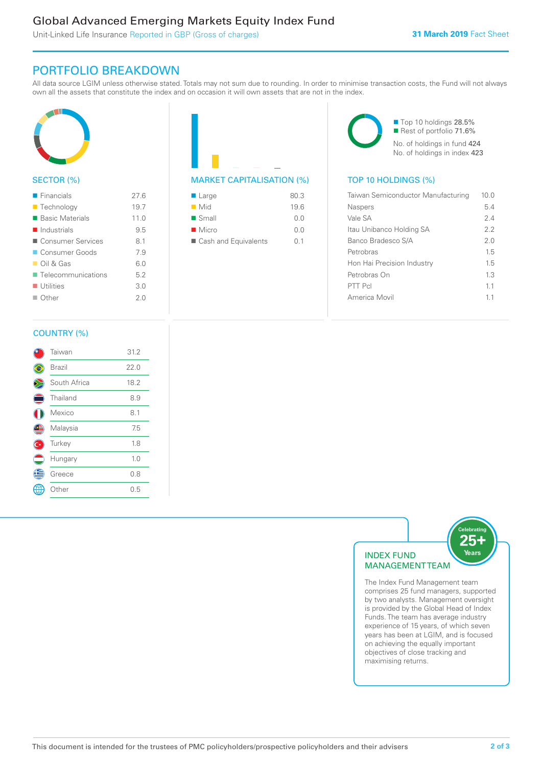# Global Advanced Emerging Markets Equity Index Fund

Unit-Linked Life Insurance Reported in GBP (Gross of charges)

## PORTFOLIO BREAKDOWN

All data source LGIM unless otherwise stated. Totals may not sum due to rounding. In order to minimise transaction costs, the Fund will not always own all the assets that constitute the index and on occasion it will own assets that are not in the index.



### SECTOR (%)

| $\blacksquare$ Financials         | 27.6 |
|-----------------------------------|------|
| ■ Technology                      | 19.7 |
| ■ Basic Materials                 | 11.0 |
| $\blacksquare$ Industrials        | 9.5  |
| ■ Consumer Services               | 8.1  |
| ■ Consumer Goods                  | 7.9  |
| $\Box$ Oil & Gas                  | 6.0  |
| $\blacksquare$ Telecommunications | 5.2  |
| $\blacksquare$ Utilities          | 3.0  |
| $\Box$ Other                      | 20   |
|                                   |      |



| $\blacksquare$ Large | 80.3 |
|----------------------|------|
| $\blacksquare$ Mid   | 19.6 |
| $\blacksquare$ Small | 0.0  |
| $\blacksquare$ Micro | 0 Q  |
| Cash and Equivalents | O 1  |

■ Top 10 holdings 28.5% Rest of portfolio 71.6% No. of holdings in fund 424 No. of holdings in index 423

### MARKET CAPITALISATION (%) TOP 10 HOLDINGS (%)

| Taiwan Semiconductor Manufacturing | 10 O |
|------------------------------------|------|
| Naspers                            | 54   |
| Vale SA                            | 2.4  |
| Itau Unibanco Holding SA           | 2.2  |
| Banco Bradesco S/A                 | 2.0  |
| Petrobras                          | 1.5  |
| Hon Hai Precision Industry         | 1.5  |
| Petrobras On                       | 13   |
| PTT Pcl                            | 11   |
| America Movil                      | 11   |
|                                    |      |

### COUNTRY (%)

|   | Taiwan        | 31.2 |  |
|---|---------------|------|--|
|   | <b>Brazil</b> | 22.0 |  |
|   | South Africa  | 18.2 |  |
|   | Thailand      | 8.9  |  |
|   | Mexico        | 8.1  |  |
| Œ | Malaysia      | 7.5  |  |
|   | Turkey        | 1.8  |  |
|   | Hungary       | 1.0  |  |
| G | Greece        | 0.8  |  |
|   | : Other       | 0.5  |  |
|   |               |      |  |



The Index Fund Management team comprises 25 fund managers, supported by two analysts. Management oversight is provided by the Global Head of Index Funds. The team has average industry experience of 15 years, of which seven years has been at LGIM, and is focused on achieving the equally important objectives of close tracking and maximising returns.